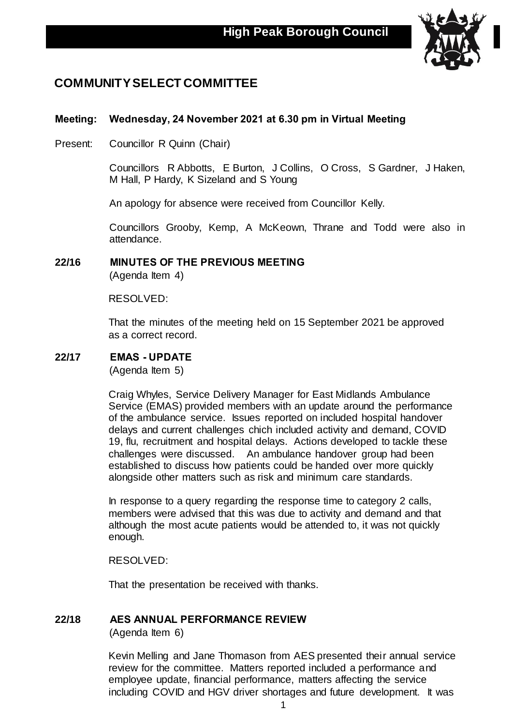

# **COMMUNITY SELECT COMMITTEE**

# **Meeting: Wednesday, 24 November 2021 at 6.30 pm in Virtual Meeting**

Present: Councillor R Quinn (Chair)

Councillors R Abbotts, E Burton, J Collins, O Cross, S Gardner, J Haken, M Hall, P Hardy, K Sizeland and S Young

An apology for absence were received from Councillor Kelly.

Councillors Grooby, Kemp, A McKeown, Thrane and Todd were also in attendance.

#### **22/16 MINUTES OF THE PREVIOUS MEETING** (Agenda Item 4)

RESOLVED:

That the minutes of the meeting held on 15 September 2021 be approved as a correct record.

# **22/17 EMAS - UPDATE**

(Agenda Item 5)

Craig Whyles, Service Delivery Manager for East Midlands Ambulance Service (EMAS) provided members with an update around the performance of the ambulance service. Issues reported on included hospital handover delays and current challenges chich included activity and demand, COVID 19, flu, recruitment and hospital delays. Actions developed to tackle these challenges were discussed. An ambulance handover group had been established to discuss how patients could be handed over more quickly alongside other matters such as risk and minimum care standards.

In response to a query regarding the response time to category 2 calls, members were advised that this was due to activity and demand and that although the most acute patients would be attended to, it was not quickly enough.

RESOLVED:

That the presentation be received with thanks.

# **22/18 AES ANNUAL PERFORMANCE REVIEW**

(Agenda Item 6)

Kevin Melling and Jane Thomason from AES presented their annual service review for the committee. Matters reported included a performance and employee update, financial performance, matters affecting the service including COVID and HGV driver shortages and future development. It was